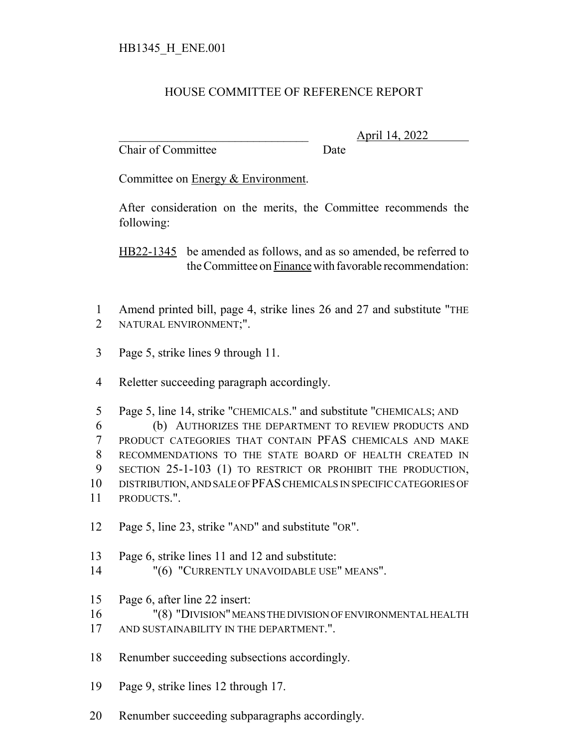## HOUSE COMMITTEE OF REFERENCE REPORT

Chair of Committee Date

\_\_\_\_\_\_\_\_\_\_\_\_\_\_\_\_\_\_\_\_\_\_\_\_\_\_\_\_\_\_\_ April 14, 2022

Committee on Energy & Environment.

After consideration on the merits, the Committee recommends the following:

HB22-1345 be amended as follows, and as so amended, be referred to the Committee on Finance with favorable recommendation:

- Amend printed bill, page 4, strike lines 26 and 27 and substitute "THE NATURAL ENVIRONMENT;".
- Page 5, strike lines 9 through 11.
- Reletter succeeding paragraph accordingly.

 Page 5, line 14, strike "CHEMICALS." and substitute "CHEMICALS; AND (b) AUTHORIZES THE DEPARTMENT TO REVIEW PRODUCTS AND PRODUCT CATEGORIES THAT CONTAIN PFAS CHEMICALS AND MAKE RECOMMENDATIONS TO THE STATE BOARD OF HEALTH CREATED IN SECTION 25-1-103 (1) TO RESTRICT OR PROHIBIT THE PRODUCTION, DISTRIBUTION, AND SALE OF PFAS CHEMICALS IN SPECIFIC CATEGORIES OF PRODUCTS.".

- Page 5, line 23, strike "AND" and substitute "OR".
- Page 6, strike lines 11 and 12 and substitute:
- 14 "(6) "CURRENTLY UNAVOIDABLE USE" MEANS".
- Page 6, after line 22 insert:
- "(8) "DIVISION" MEANS THE DIVISION OF ENVIRONMENTAL HEALTH
- 17 AND SUSTAINABILITY IN THE DEPARTMENT.".
- Renumber succeeding subsections accordingly.
- Page 9, strike lines 12 through 17.
- Renumber succeeding subparagraphs accordingly.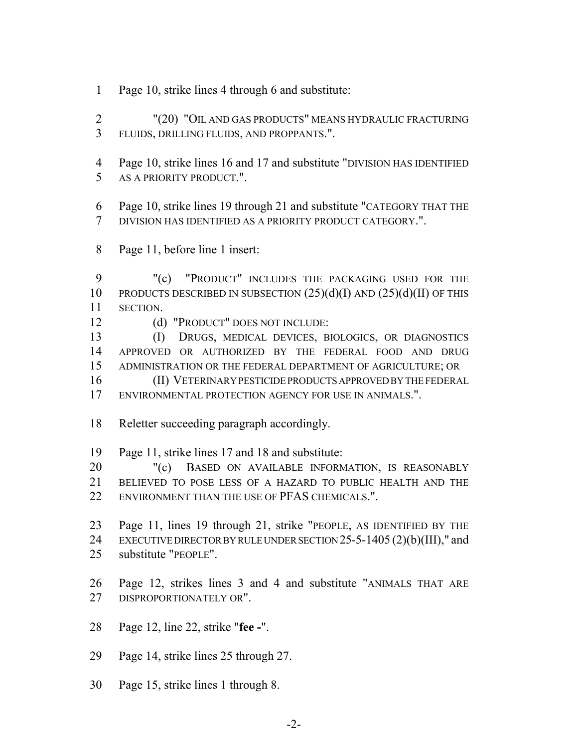- Page 10, strike lines 4 through 6 and substitute:
- "(20) "OIL AND GAS PRODUCTS" MEANS HYDRAULIC FRACTURING FLUIDS, DRILLING FLUIDS, AND PROPPANTS.".
- Page 10, strike lines 16 and 17 and substitute "DIVISION HAS IDENTIFIED AS A PRIORITY PRODUCT.".
- Page 10, strike lines 19 through 21 and substitute "CATEGORY THAT THE DIVISION HAS IDENTIFIED AS A PRIORITY PRODUCT CATEGORY.".
- Page 11, before line 1 insert:

 "(c) "PRODUCT" INCLUDES THE PACKAGING USED FOR THE 10 PRODUCTS DESCRIBED IN SUBSECTION  $(25)(d)(I)$  AND  $(25)(d)(II)$  OF THIS SECTION.

(d) "PRODUCT" DOES NOT INCLUDE:

 (I) DRUGS, MEDICAL DEVICES, BIOLOGICS, OR DIAGNOSTICS APPROVED OR AUTHORIZED BY THE FEDERAL FOOD AND DRUG ADMINISTRATION OR THE FEDERAL DEPARTMENT OF AGRICULTURE; OR

 (II) VETERINARY PESTICIDE PRODUCTS APPROVED BY THE FEDERAL ENVIRONMENTAL PROTECTION AGENCY FOR USE IN ANIMALS.".

Reletter succeeding paragraph accordingly.

Page 11, strike lines 17 and 18 and substitute:

20 "(c) BASED ON AVAILABLE INFORMATION, IS REASONABLY BELIEVED TO POSE LESS OF A HAZARD TO PUBLIC HEALTH AND THE 22 ENVIRONMENT THAN THE USE OF PFAS CHEMICALS.".

- Page 11, lines 19 through 21, strike "PEOPLE, AS IDENTIFIED BY THE EXECUTIVE DIRECTOR BY RULE UNDER SECTION 25-5-1405 (2)(b)(III)," and substitute "PEOPLE".
- Page 12, strikes lines 3 and 4 and substitute "ANIMALS THAT ARE DISPROPORTIONATELY OR".
- Page 12, line 22, strike "**fee -**".
- Page 14, strike lines 25 through 27.
- Page 15, strike lines 1 through 8.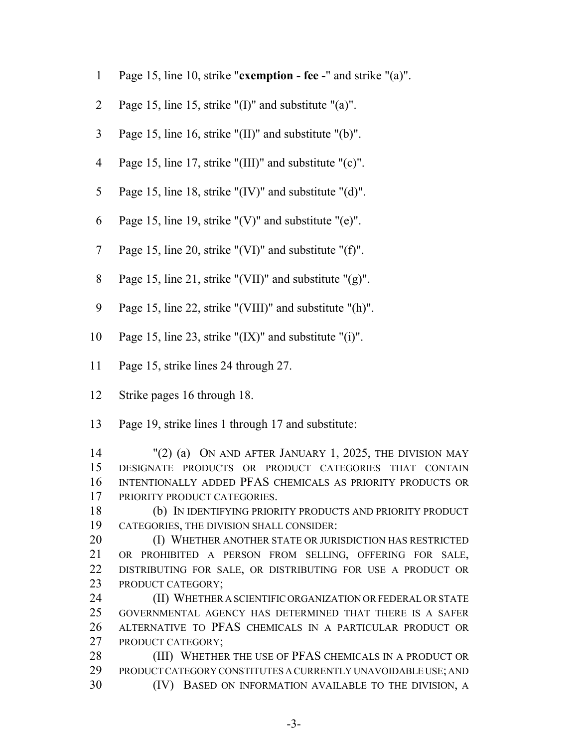- Page 15, line 10, strike "**exemption fee -**" and strike "(a)".
- Page 15, line 15, strike "(I)" and substitute "(a)".
- Page 15, line 16, strike "(II)" and substitute "(b)".
- Page 15, line 17, strike "(III)" and substitute "(c)".
- Page 15, line 18, strike "(IV)" and substitute "(d)".
- 6 Page 15, line 19, strike " $(V)$ " and substitute " $(e)$ ".
- Page 15, line 20, strike "(VI)" and substitute "(f)".
- Page 15, line 21, strike "(VII)" and substitute "(g)".
- Page 15, line 22, strike "(VIII)" and substitute "(h)".
- 10 Page 15, line 23, strike " $(IX)$ " and substitute " $(i)$ ".
- Page 15, strike lines 24 through 27.
- Strike pages 16 through 18.
- Page 19, strike lines 1 through 17 and substitute:

 "(2) (a) ON AND AFTER JANUARY 1, 2025, THE DIVISION MAY DESIGNATE PRODUCTS OR PRODUCT CATEGORIES THAT CONTAIN INTENTIONALLY ADDED PFAS CHEMICALS AS PRIORITY PRODUCTS OR PRIORITY PRODUCT CATEGORIES.

 (b) IN IDENTIFYING PRIORITY PRODUCTS AND PRIORITY PRODUCT CATEGORIES, THE DIVISION SHALL CONSIDER:

**(I) WHETHER ANOTHER STATE OR JURISDICTION HAS RESTRICTED**  OR PROHIBITED A PERSON FROM SELLING, OFFERING FOR SALE, DISTRIBUTING FOR SALE, OR DISTRIBUTING FOR USE A PRODUCT OR 23 PRODUCT CATEGORY;

**(II) WHETHER A SCIENTIFIC ORGANIZATION OR FEDERAL OR STATE**  GOVERNMENTAL AGENCY HAS DETERMINED THAT THERE IS A SAFER ALTERNATIVE TO PFAS CHEMICALS IN A PARTICULAR PRODUCT OR PRODUCT CATEGORY;

28 (III) WHETHER THE USE OF PFAS CHEMICALS IN A PRODUCT OR PRODUCT CATEGORY CONSTITUTES A CURRENTLY UNAVOIDABLE USE; AND (IV) BASED ON INFORMATION AVAILABLE TO THE DIVISION, A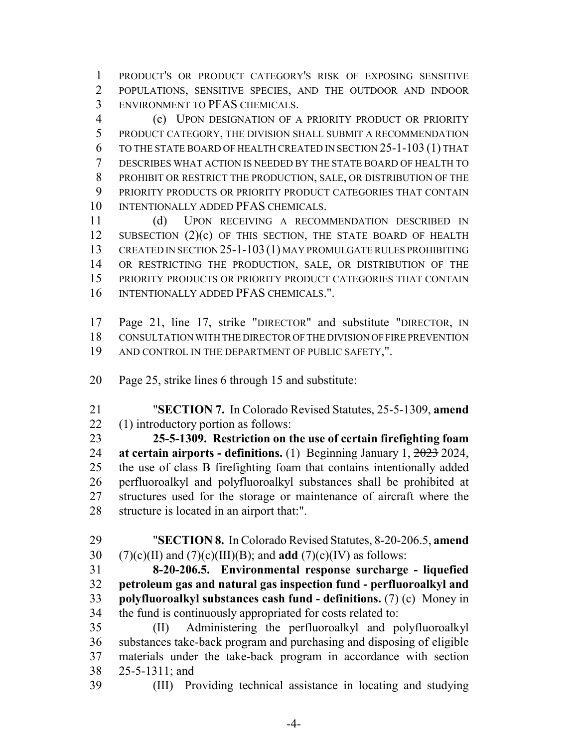PRODUCT'S OR PRODUCT CATEGORY'S RISK OF EXPOSING SENSITIVE POPULATIONS, SENSITIVE SPECIES, AND THE OUTDOOR AND INDOOR ENVIRONMENT TO PFAS CHEMICALS.

 (c) UPON DESIGNATION OF A PRIORITY PRODUCT OR PRIORITY PRODUCT CATEGORY, THE DIVISION SHALL SUBMIT A RECOMMENDATION TO THE STATE BOARD OF HEALTH CREATED IN SECTION 25-1-103 (1) THAT DESCRIBES WHAT ACTION IS NEEDED BY THE STATE BOARD OF HEALTH TO PROHIBIT OR RESTRICT THE PRODUCTION, SALE, OR DISTRIBUTION OF THE PRIORITY PRODUCTS OR PRIORITY PRODUCT CATEGORIES THAT CONTAIN 10 INTENTIONALLY ADDED PFAS CHEMICALS.

 (d) UPON RECEIVING A RECOMMENDATION DESCRIBED IN 12 SUBSECTION (2)(c) OF THIS SECTION, THE STATE BOARD OF HEALTH CREATED IN SECTION 25-1-103 (1) MAY PROMULGATE RULES PROHIBITING OR RESTRICTING THE PRODUCTION, SALE, OR DISTRIBUTION OF THE PRIORITY PRODUCTS OR PRIORITY PRODUCT CATEGORIES THAT CONTAIN INTENTIONALLY ADDED PFAS CHEMICALS.".

 Page 21, line 17, strike "DIRECTOR" and substitute "DIRECTOR, IN CONSULTATION WITH THE DIRECTOR OF THE DIVISION OF FIRE PREVENTION AND CONTROL IN THE DEPARTMENT OF PUBLIC SAFETY,".

- Page 25, strike lines 6 through 15 and substitute:
- "**SECTION 7.** In Colorado Revised Statutes, 25-5-1309, **amend** (1) introductory portion as follows:

 **25-5-1309. Restriction on the use of certain firefighting foam at certain airports - definitions.** (1) Beginning January 1, 2023 2024, the use of class B firefighting foam that contains intentionally added perfluoroalkyl and polyfluoroalkyl substances shall be prohibited at structures used for the storage or maintenance of aircraft where the structure is located in an airport that:".

 "**SECTION 8.** In Colorado Revised Statutes, 8-20-206.5, **amend** (7)(c)(II) and (7)(c)(III)(B); and **add** (7)(c)(IV) as follows:

 **8-20-206.5. Environmental response surcharge - liquefied petroleum gas and natural gas inspection fund - perfluoroalkyl and polyfluoroalkyl substances cash fund - definitions.** (7) (c) Money in the fund is continuously appropriated for costs related to:

 (II) Administering the perfluoroalkyl and polyfluoroalkyl substances take-back program and purchasing and disposing of eligible materials under the take-back program in accordance with section 25-5-1311; and

(III) Providing technical assistance in locating and studying